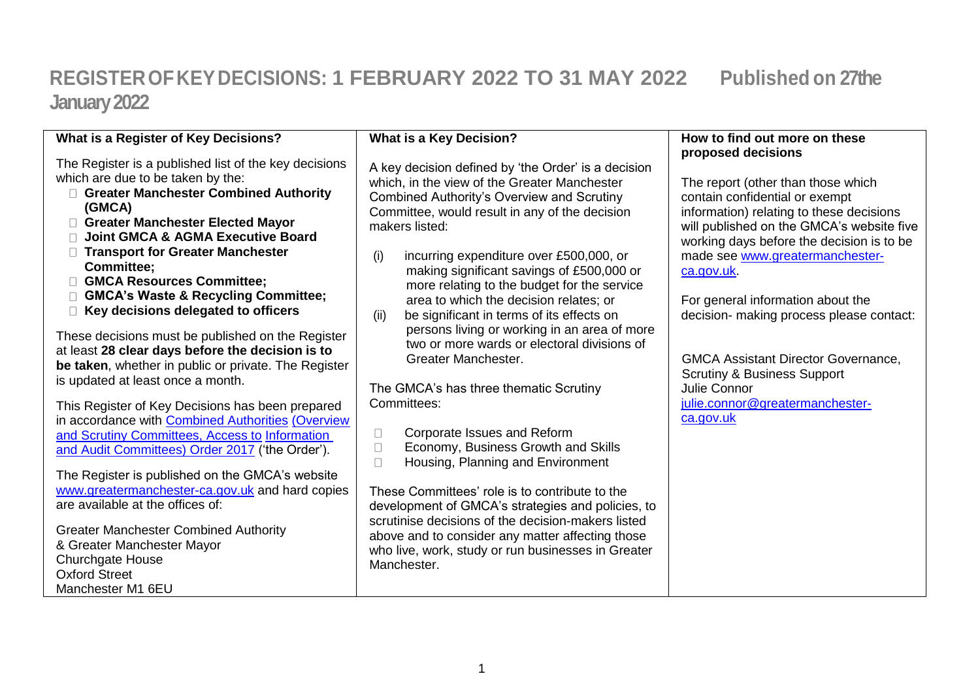## **REGISTEROFKEYDECISIONS: 1 FEBRUARY 2022 TO 31 MAY 2022 Published on 27the January 2022**

| What is a Register of Key Decisions?                                                                                                                                                                                                                                                                                                                                                                                                                                                                              | <b>What is a Key Decision?</b>                                                                                                                                                                                                                                                                                                                                                                                                                                            | How to find out more on these<br>proposed decisions                                                                                                                                                                                                                                                                                          |
|-------------------------------------------------------------------------------------------------------------------------------------------------------------------------------------------------------------------------------------------------------------------------------------------------------------------------------------------------------------------------------------------------------------------------------------------------------------------------------------------------------------------|---------------------------------------------------------------------------------------------------------------------------------------------------------------------------------------------------------------------------------------------------------------------------------------------------------------------------------------------------------------------------------------------------------------------------------------------------------------------------|----------------------------------------------------------------------------------------------------------------------------------------------------------------------------------------------------------------------------------------------------------------------------------------------------------------------------------------------|
| The Register is a published list of the key decisions<br>which are due to be taken by the:<br>□ Greater Manchester Combined Authority<br>(GMCA)<br>Greater Manchester Elected Mayor<br><b>Joint GMCA &amp; AGMA Executive Board</b><br>□ Transport for Greater Manchester<br><b>Committee;</b><br>GMCA Resources Committee:<br>□ GMCA's Waste & Recycling Committee;<br>$\Box$ Key decisions delegated to officers                                                                                                | A key decision defined by 'the Order' is a decision<br>which, in the view of the Greater Manchester<br><b>Combined Authority's Overview and Scrutiny</b><br>Committee, would result in any of the decision<br>makers listed:<br>(i)<br>incurring expenditure over £500,000, or<br>making significant savings of £500,000 or<br>more relating to the budget for the service<br>area to which the decision relates; or<br>be significant in terms of its effects on<br>(ii) | The report (other than those which<br>contain confidential or exempt<br>information) relating to these decisions<br>will published on the GMCA's website five<br>working days before the decision is to be<br>made see www.greatermanchester-<br>ca.gov.uk.<br>For general information about the<br>decision- making process please contact: |
| These decisions must be published on the Register<br>at least 28 clear days before the decision is to<br>be taken, whether in public or private. The Register<br>is updated at least once a month.                                                                                                                                                                                                                                                                                                                | persons living or working in an area of more<br>two or more wards or electoral divisions of<br>Greater Manchester.<br>The GMCA's has three thematic Scrutiny                                                                                                                                                                                                                                                                                                              | <b>GMCA Assistant Director Governance,</b><br><b>Scrutiny &amp; Business Support</b><br>Julie Connor                                                                                                                                                                                                                                         |
| This Register of Key Decisions has been prepared<br>in accordance with <b>Combined Authorities (Overview</b><br>and Scrutiny Committees, Access to Information<br>and Audit Committees) Order 2017 ('the Order').<br>The Register is published on the GMCA's website<br>www.greatermanchester-ca.gov.uk and hard copies<br>are available at the offices of:<br><b>Greater Manchester Combined Authority</b><br>& Greater Manchester Mayor<br><b>Churchgate House</b><br><b>Oxford Street</b><br>Manchester M1 6EU | Committees:<br>Corporate Issues and Reform<br>$\Box$<br>Economy, Business Growth and Skills<br>$\Box$<br>Housing, Planning and Environment<br>$\Box$<br>These Committees' role is to contribute to the<br>development of GMCA's strategies and policies, to<br>scrutinise decisions of the decision-makers listed<br>above and to consider any matter affecting those<br>who live, work, study or run businesses in Greater<br>Manchester.                                | julie.connor@greatermanchester-<br>ca.gov.uk                                                                                                                                                                                                                                                                                                 |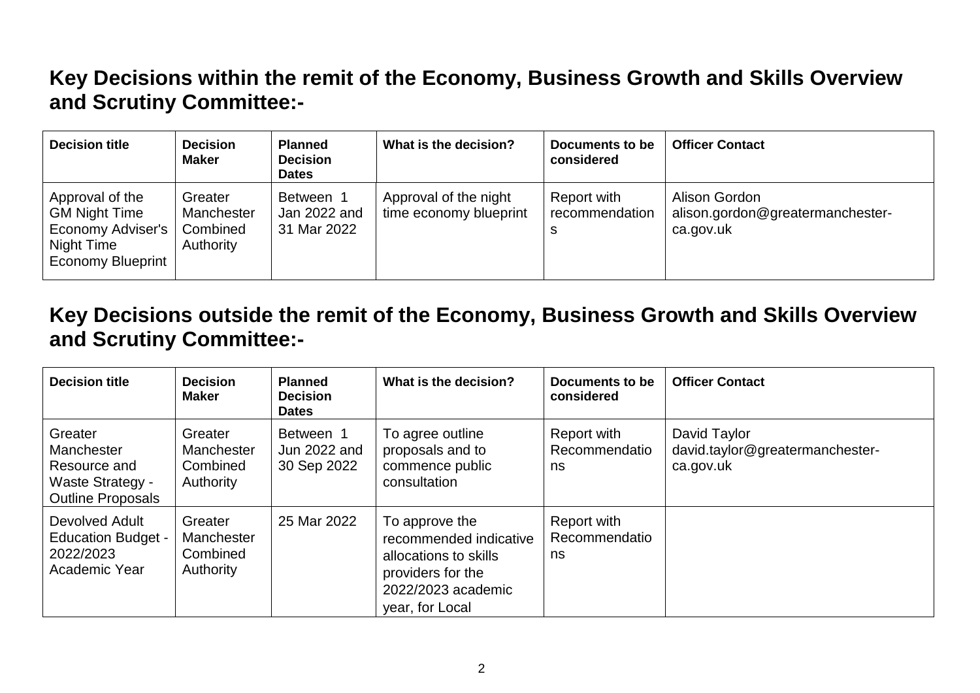## **Key Decisions within the remit of the Economy, Business Growth and Skills Overview and Scrutiny Committee:-**

| <b>Decision title</b>                                                                                  | <b>Decision</b><br><b>Maker</b>                | <b>Planned</b><br><b>Decision</b><br><b>Dates</b> | What is the decision?                           | Documents to be<br>considered | <b>Officer Contact</b>                                         |
|--------------------------------------------------------------------------------------------------------|------------------------------------------------|---------------------------------------------------|-------------------------------------------------|-------------------------------|----------------------------------------------------------------|
| Approval of the<br><b>GM Night Time</b><br>Economy Adviser's<br>Night Time<br><b>Economy Blueprint</b> | Greater<br>Manchester<br>Combined<br>Authority | Between 1<br>Jan 2022 and<br>31 Mar 2022          | Approval of the night<br>time economy blueprint | Report with<br>recommendation | Alison Gordon<br>alison.gordon@greatermanchester-<br>ca.gov.uk |

**Key Decisions outside the remit of the Economy, Business Growth and Skills Overview and Scrutiny Committee:-**

| <b>Decision title</b>                                                                 | <b>Decision</b><br><b>Maker</b>                | <b>Planned</b><br><b>Decision</b><br><b>Dates</b> | What is the decision?                                                                                                           | Documents to be<br>considered      | <b>Officer Contact</b>                                       |
|---------------------------------------------------------------------------------------|------------------------------------------------|---------------------------------------------------|---------------------------------------------------------------------------------------------------------------------------------|------------------------------------|--------------------------------------------------------------|
| Greater<br>Manchester<br>Resource and<br>Waste Strategy -<br><b>Outline Proposals</b> | Greater<br>Manchester<br>Combined<br>Authority | Between 1<br>Jun 2022 and<br>30 Sep 2022          | To agree outline<br>proposals and to<br>commence public<br>consultation                                                         | Report with<br>Recommendatio<br>ns | David Taylor<br>david.taylor@greatermanchester-<br>ca.gov.uk |
| Devolved Adult<br><b>Education Budget -</b><br>2022/2023<br>Academic Year             | Greater<br>Manchester<br>Combined<br>Authority | 25 Mar 2022                                       | To approve the<br>recommended indicative<br>allocations to skills<br>providers for the<br>2022/2023 academic<br>year, for Local | Report with<br>Recommendatio<br>ns |                                                              |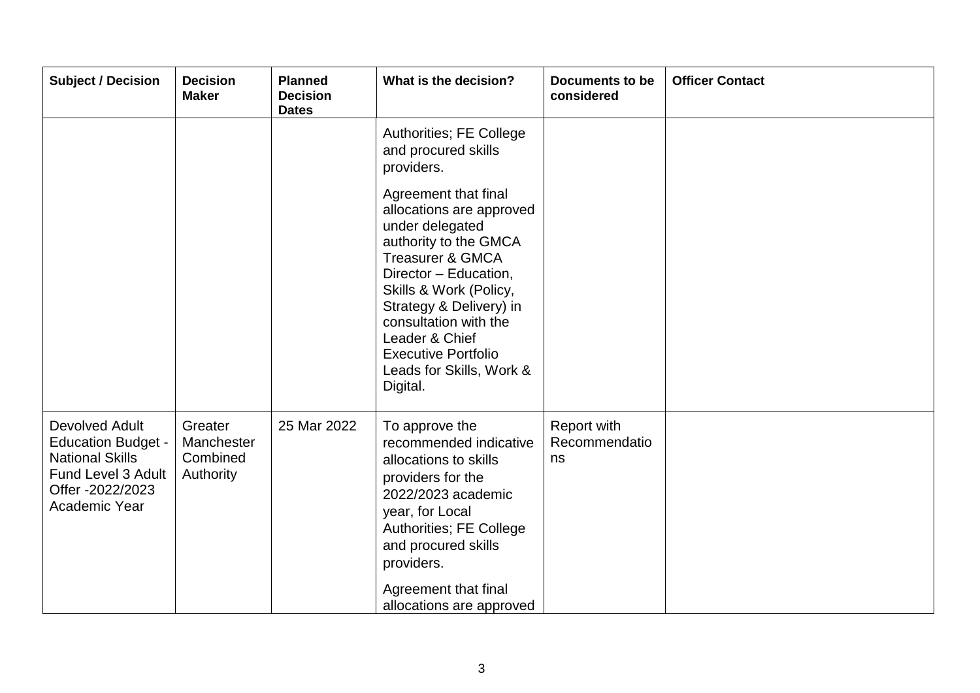| <b>Subject / Decision</b>                                                                                                        | <b>Decision</b><br><b>Maker</b>                | <b>Planned</b><br><b>Decision</b><br><b>Dates</b> | What is the decision?                                                                                                                                                                                                                                                                                                      | <b>Documents to be</b><br>considered | <b>Officer Contact</b> |
|----------------------------------------------------------------------------------------------------------------------------------|------------------------------------------------|---------------------------------------------------|----------------------------------------------------------------------------------------------------------------------------------------------------------------------------------------------------------------------------------------------------------------------------------------------------------------------------|--------------------------------------|------------------------|
|                                                                                                                                  |                                                |                                                   | Authorities; FE College<br>and procured skills<br>providers.                                                                                                                                                                                                                                                               |                                      |                        |
|                                                                                                                                  |                                                |                                                   | Agreement that final<br>allocations are approved<br>under delegated<br>authority to the GMCA<br><b>Treasurer &amp; GMCA</b><br>Director - Education,<br>Skills & Work (Policy,<br>Strategy & Delivery) in<br>consultation with the<br>Leader & Chief<br><b>Executive Portfolio</b><br>Leads for Skills, Work &<br>Digital. |                                      |                        |
| Devolved Adult<br><b>Education Budget -</b><br><b>National Skills</b><br>Fund Level 3 Adult<br>Offer -2022/2023<br>Academic Year | Greater<br>Manchester<br>Combined<br>Authority | 25 Mar 2022                                       | To approve the<br>recommended indicative<br>allocations to skills<br>providers for the<br>2022/2023 academic<br>year, for Local<br>Authorities; FE College<br>and procured skills<br>providers.<br>Agreement that final<br>allocations are approved                                                                        | Report with<br>Recommendatio<br>ns   |                        |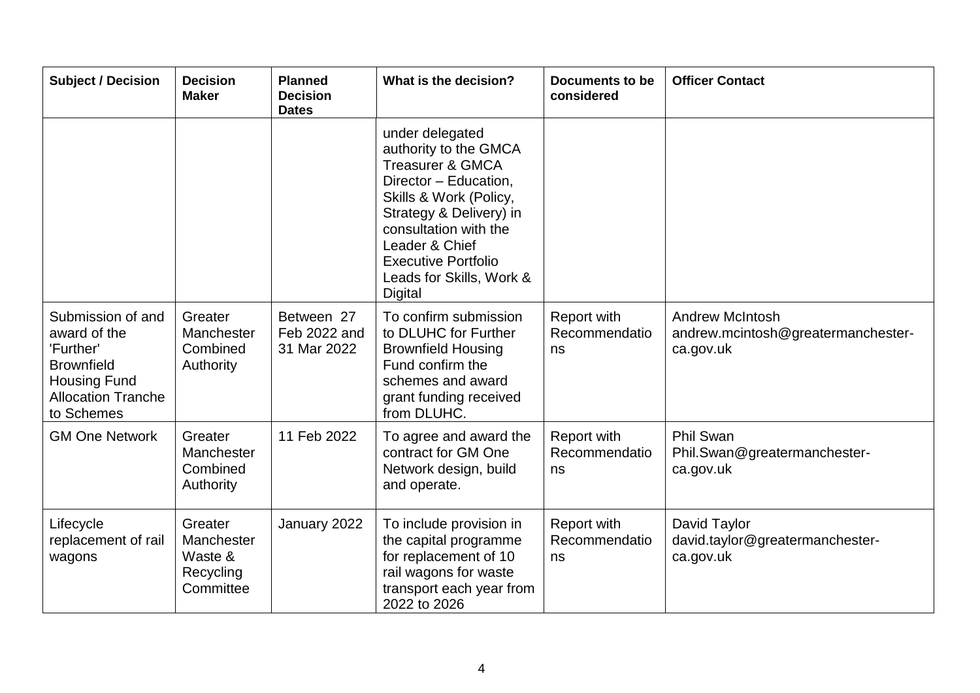| <b>Subject / Decision</b>                                                                                                             | <b>Decision</b><br><b>Maker</b>                            | <b>Planned</b><br><b>Decision</b><br><b>Dates</b> | What is the decision?                                                                                                                                                                                                                                                 | <b>Documents to be</b><br>considered      | <b>Officer Contact</b>                                                    |
|---------------------------------------------------------------------------------------------------------------------------------------|------------------------------------------------------------|---------------------------------------------------|-----------------------------------------------------------------------------------------------------------------------------------------------------------------------------------------------------------------------------------------------------------------------|-------------------------------------------|---------------------------------------------------------------------------|
|                                                                                                                                       |                                                            |                                                   | under delegated<br>authority to the GMCA<br><b>Treasurer &amp; GMCA</b><br>Director - Education,<br>Skills & Work (Policy,<br>Strategy & Delivery) in<br>consultation with the<br>Leader & Chief<br><b>Executive Portfolio</b><br>Leads for Skills, Work &<br>Digital |                                           |                                                                           |
| Submission of and<br>award of the<br>'Further'<br><b>Brownfield</b><br><b>Housing Fund</b><br><b>Allocation Tranche</b><br>to Schemes | Greater<br>Manchester<br>Combined<br>Authority             | Between 27<br>Feb 2022 and<br>31 Mar 2022         | To confirm submission<br>to DLUHC for Further<br><b>Brownfield Housing</b><br>Fund confirm the<br>schemes and award<br>grant funding received<br>from DLUHC.                                                                                                          | <b>Report with</b><br>Recommendatio<br>ns | <b>Andrew McIntosh</b><br>andrew.mcintosh@greatermanchester-<br>ca.gov.uk |
| <b>GM One Network</b>                                                                                                                 | Greater<br>Manchester<br>Combined<br>Authority             | 11 Feb 2022                                       | To agree and award the<br>contract for GM One<br>Network design, build<br>and operate.                                                                                                                                                                                | <b>Report with</b><br>Recommendatio<br>ns | <b>Phil Swan</b><br>Phil.Swan@greatermanchester-<br>ca.gov.uk             |
| Lifecycle<br>replacement of rail<br>wagons                                                                                            | Greater<br>Manchester<br>Waste &<br>Recycling<br>Committee | January 2022                                      | To include provision in<br>the capital programme<br>for replacement of 10<br>rail wagons for waste<br>transport each year from<br>2022 to 2026                                                                                                                        | <b>Report with</b><br>Recommendatio<br>ns | David Taylor<br>david.taylor@greatermanchester-<br>ca.gov.uk              |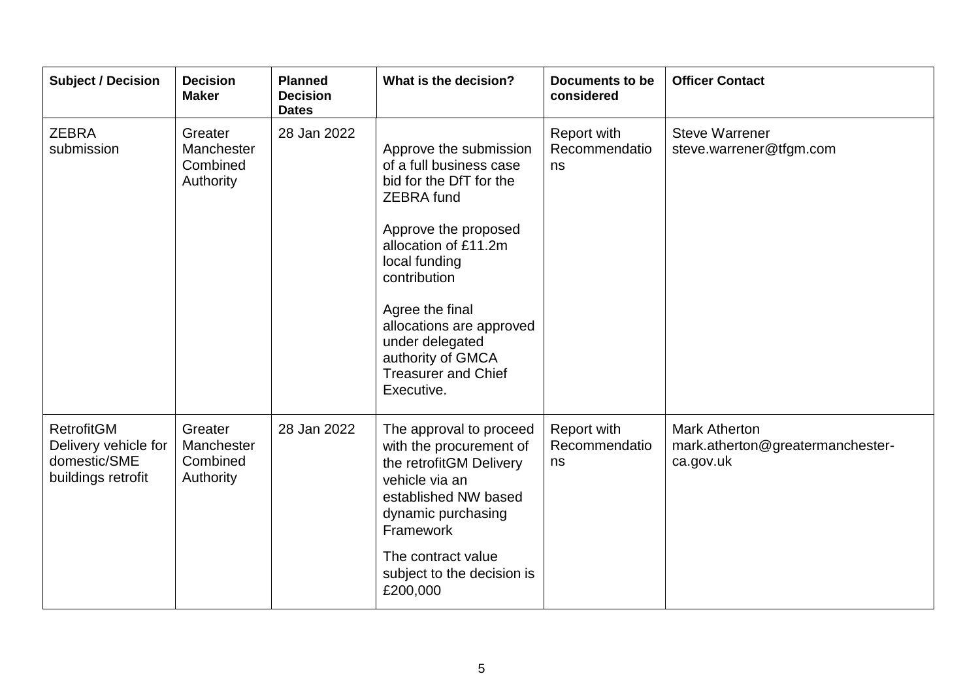| <b>Subject / Decision</b>                                                       | <b>Decision</b><br><b>Maker</b>                | <b>Planned</b><br><b>Decision</b><br><b>Dates</b> | What is the decision?                                                                                                                                                                                                                                                                                                 | <b>Documents to be</b><br>considered | <b>Officer Contact</b>                                                |
|---------------------------------------------------------------------------------|------------------------------------------------|---------------------------------------------------|-----------------------------------------------------------------------------------------------------------------------------------------------------------------------------------------------------------------------------------------------------------------------------------------------------------------------|--------------------------------------|-----------------------------------------------------------------------|
| <b>ZEBRA</b><br>submission                                                      | Greater<br>Manchester<br>Combined<br>Authority | 28 Jan 2022                                       | Approve the submission<br>of a full business case<br>bid for the DfT for the<br><b>ZEBRA</b> fund<br>Approve the proposed<br>allocation of £11.2m<br>local funding<br>contribution<br>Agree the final<br>allocations are approved<br>under delegated<br>authority of GMCA<br><b>Treasurer and Chief</b><br>Executive. | Report with<br>Recommendatio<br>ns   | <b>Steve Warrener</b><br>steve.warrener@tfgm.com                      |
| <b>RetrofitGM</b><br>Delivery vehicle for<br>domestic/SME<br>buildings retrofit | Greater<br>Manchester<br>Combined<br>Authority | 28 Jan 2022                                       | The approval to proceed<br>with the procurement of<br>the retrofitGM Delivery<br>vehicle via an<br>established NW based<br>dynamic purchasing<br>Framework<br>The contract value<br>subject to the decision is<br>£200,000                                                                                            | Report with<br>Recommendatio<br>ns   | <b>Mark Atherton</b><br>mark.atherton@greatermanchester-<br>ca.gov.uk |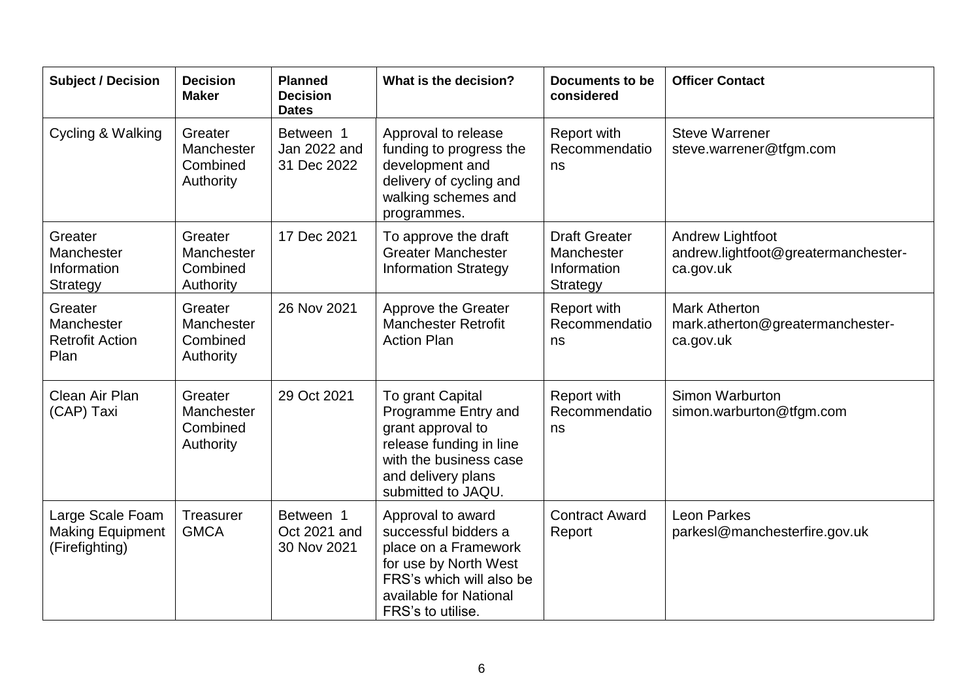| <b>Subject / Decision</b>                                     | <b>Decision</b><br><b>Maker</b>                | <b>Planned</b><br><b>Decision</b><br><b>Dates</b> | What is the decision?                                                                                                                                                 | <b>Documents to be</b><br>considered                                 | <b>Officer Contact</b>                                                |
|---------------------------------------------------------------|------------------------------------------------|---------------------------------------------------|-----------------------------------------------------------------------------------------------------------------------------------------------------------------------|----------------------------------------------------------------------|-----------------------------------------------------------------------|
| Cycling & Walking                                             | Greater<br>Manchester<br>Combined<br>Authority | Between 1<br>Jan 2022 and<br>31 Dec 2022          | Approval to release<br>funding to progress the<br>development and<br>delivery of cycling and<br>walking schemes and<br>programmes.                                    | Report with<br>Recommendatio<br>ns                                   | <b>Steve Warrener</b><br>steve.warrener@tfgm.com                      |
| Greater<br>Manchester<br>Information<br><b>Strategy</b>       | Greater<br>Manchester<br>Combined<br>Authority | 17 Dec 2021                                       | To approve the draft<br><b>Greater Manchester</b><br><b>Information Strategy</b>                                                                                      | <b>Draft Greater</b><br>Manchester<br>Information<br><b>Strategy</b> | Andrew Lightfoot<br>andrew.lightfoot@greatermanchester-<br>ca.gov.uk  |
| Greater<br>Manchester<br><b>Retrofit Action</b><br>Plan       | Greater<br>Manchester<br>Combined<br>Authority | 26 Nov 2021                                       | Approve the Greater<br><b>Manchester Retrofit</b><br><b>Action Plan</b>                                                                                               | Report with<br>Recommendatio<br>ns                                   | <b>Mark Atherton</b><br>mark.atherton@greatermanchester-<br>ca.gov.uk |
| Clean Air Plan<br>(CAP) Taxi                                  | Greater<br>Manchester<br>Combined<br>Authority | 29 Oct 2021                                       | To grant Capital<br>Programme Entry and<br>grant approval to<br>release funding in line<br>with the business case<br>and delivery plans<br>submitted to JAQU.         | Report with<br>Recommendatio<br>ns                                   | Simon Warburton<br>simon.warburton@tfgm.com                           |
| Large Scale Foam<br><b>Making Equipment</b><br>(Firefighting) | Treasurer<br><b>GMCA</b>                       | Between 1<br>Oct 2021 and<br>30 Nov 2021          | Approval to award<br>successful bidders a<br>place on a Framework<br>for use by North West<br>FRS's which will also be<br>available for National<br>FRS's to utilise. | <b>Contract Award</b><br>Report                                      | <b>Leon Parkes</b><br>parkesl@manchesterfire.gov.uk                   |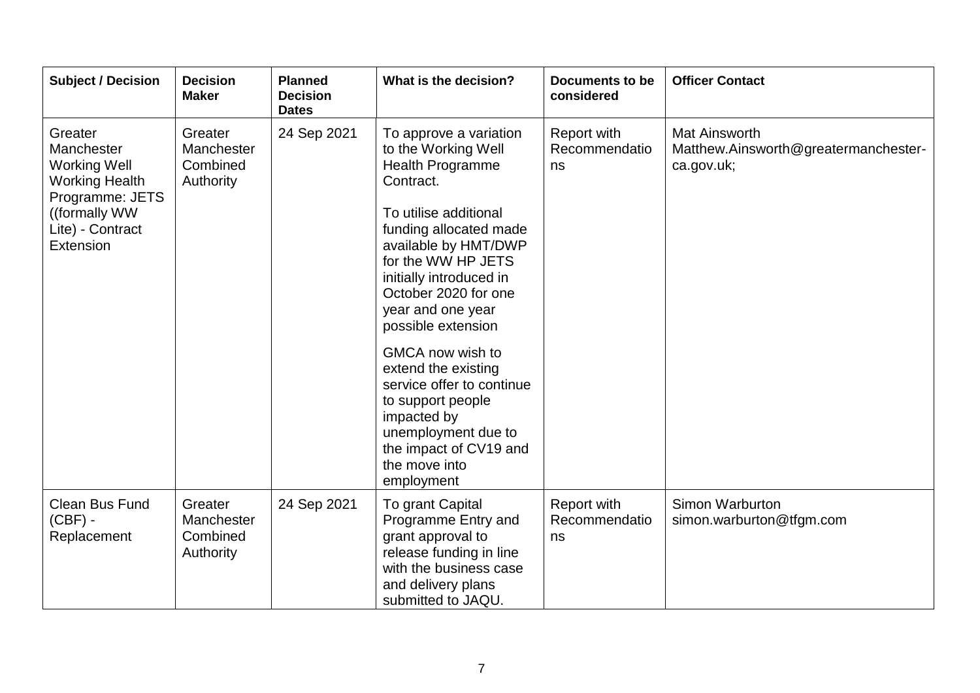| <b>Subject / Decision</b>                                                                                                                  | <b>Decision</b><br><b>Maker</b>                | <b>Planned</b><br><b>Decision</b><br><b>Dates</b> | What is the decision?                                                                                                                                                                                                                                                                                                                                                                                                                                                     | <b>Documents to be</b><br>considered      | <b>Officer Contact</b>                                                     |
|--------------------------------------------------------------------------------------------------------------------------------------------|------------------------------------------------|---------------------------------------------------|---------------------------------------------------------------------------------------------------------------------------------------------------------------------------------------------------------------------------------------------------------------------------------------------------------------------------------------------------------------------------------------------------------------------------------------------------------------------------|-------------------------------------------|----------------------------------------------------------------------------|
| Greater<br>Manchester<br><b>Working Well</b><br><b>Working Health</b><br>Programme: JETS<br>((formally WW<br>Lite) - Contract<br>Extension | Greater<br>Manchester<br>Combined<br>Authority | 24 Sep 2021                                       | To approve a variation<br>to the Working Well<br>Health Programme<br>Contract.<br>To utilise additional<br>funding allocated made<br>available by HMT/DWP<br>for the WW HP JETS<br>initially introduced in<br>October 2020 for one<br>year and one year<br>possible extension<br>GMCA now wish to<br>extend the existing<br>service offer to continue<br>to support people<br>impacted by<br>unemployment due to<br>the impact of CV19 and<br>the move into<br>employment | <b>Report with</b><br>Recommendatio<br>ns | <b>Mat Ainsworth</b><br>Matthew.Ainsworth@greatermanchester-<br>ca.gov.uk; |
| <b>Clean Bus Fund</b><br>$(CBF) -$<br>Replacement                                                                                          | Greater<br>Manchester<br>Combined<br>Authority | 24 Sep 2021                                       | To grant Capital<br>Programme Entry and<br>grant approval to<br>release funding in line<br>with the business case<br>and delivery plans<br>submitted to JAQU.                                                                                                                                                                                                                                                                                                             | <b>Report with</b><br>Recommendatio<br>ns | Simon Warburton<br>simon.warburton@tfgm.com                                |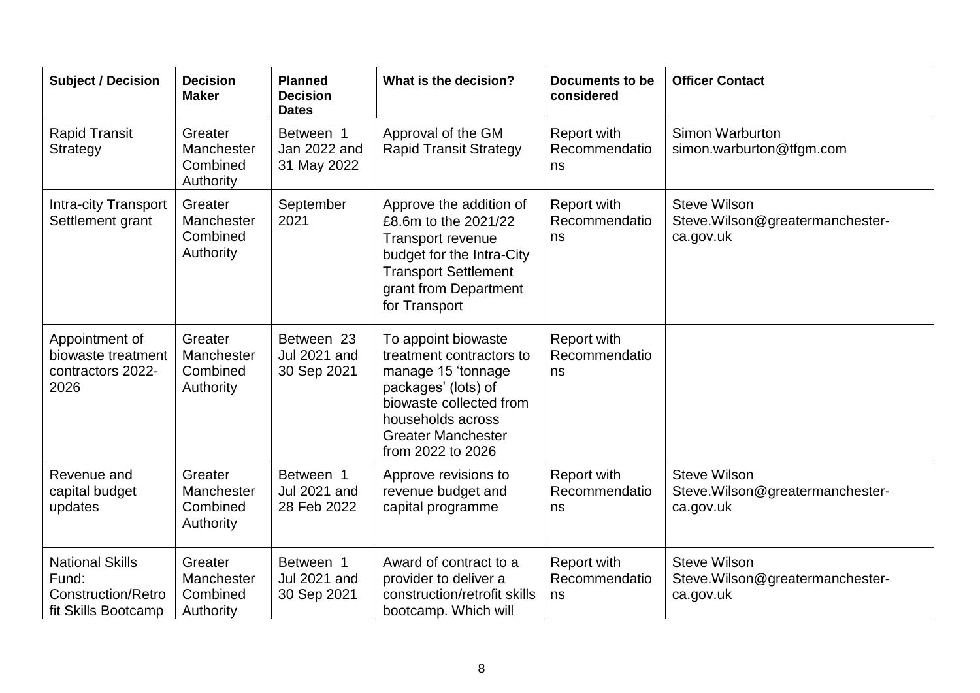| <b>Subject / Decision</b>                                                           | <b>Decision</b><br><b>Maker</b>                | <b>Planned</b><br><b>Decision</b><br><b>Dates</b> | What is the decision?                                                                                                                                                                          | Documents to be<br>considered             | <b>Officer Contact</b>                                               |
|-------------------------------------------------------------------------------------|------------------------------------------------|---------------------------------------------------|------------------------------------------------------------------------------------------------------------------------------------------------------------------------------------------------|-------------------------------------------|----------------------------------------------------------------------|
| <b>Rapid Transit</b><br>Strategy                                                    | Greater<br>Manchester<br>Combined<br>Authority | Between 1<br>Jan 2022 and<br>31 May 2022          | Approval of the GM<br><b>Rapid Transit Strategy</b>                                                                                                                                            | Report with<br>Recommendatio<br>ns        | Simon Warburton<br>simon.warburton@tfgm.com                          |
| <b>Intra-city Transport</b><br>Settlement grant                                     | Greater<br>Manchester<br>Combined<br>Authority | September<br>2021                                 | Approve the addition of<br>£8.6m to the 2021/22<br><b>Transport revenue</b><br>budget for the Intra-City<br><b>Transport Settlement</b><br>grant from Department<br>for Transport              | Report with<br>Recommendatio<br>ns        | <b>Steve Wilson</b><br>Steve. Wilson@greatermanchester-<br>ca.gov.uk |
| Appointment of<br>biowaste treatment<br>contractors 2022-<br>2026                   | Greater<br>Manchester<br>Combined<br>Authority | Between 23<br><b>Jul 2021 and</b><br>30 Sep 2021  | To appoint biowaste<br>treatment contractors to<br>manage 15 'tonnage<br>packages' (lots) of<br>biowaste collected from<br>households across<br><b>Greater Manchester</b><br>from 2022 to 2026 | <b>Report with</b><br>Recommendatio<br>ns |                                                                      |
| Revenue and<br>capital budget<br>updates                                            | Greater<br>Manchester<br>Combined<br>Authority | Between 1<br><b>Jul 2021 and</b><br>28 Feb 2022   | Approve revisions to<br>revenue budget and<br>capital programme                                                                                                                                | <b>Report with</b><br>Recommendatio<br>ns | <b>Steve Wilson</b><br>Steve. Wilson@greatermanchester-<br>ca.gov.uk |
| <b>National Skills</b><br>Fund:<br><b>Construction/Retro</b><br>fit Skills Bootcamp | Greater<br>Manchester<br>Combined<br>Authority | Between 1<br><b>Jul 2021 and</b><br>30 Sep 2021   | Award of contract to a<br>provider to deliver a<br>construction/retrofit skills<br>bootcamp. Which will                                                                                        | Report with<br>Recommendatio<br>ns        | <b>Steve Wilson</b><br>Steve. Wilson@greatermanchester-<br>ca.gov.uk |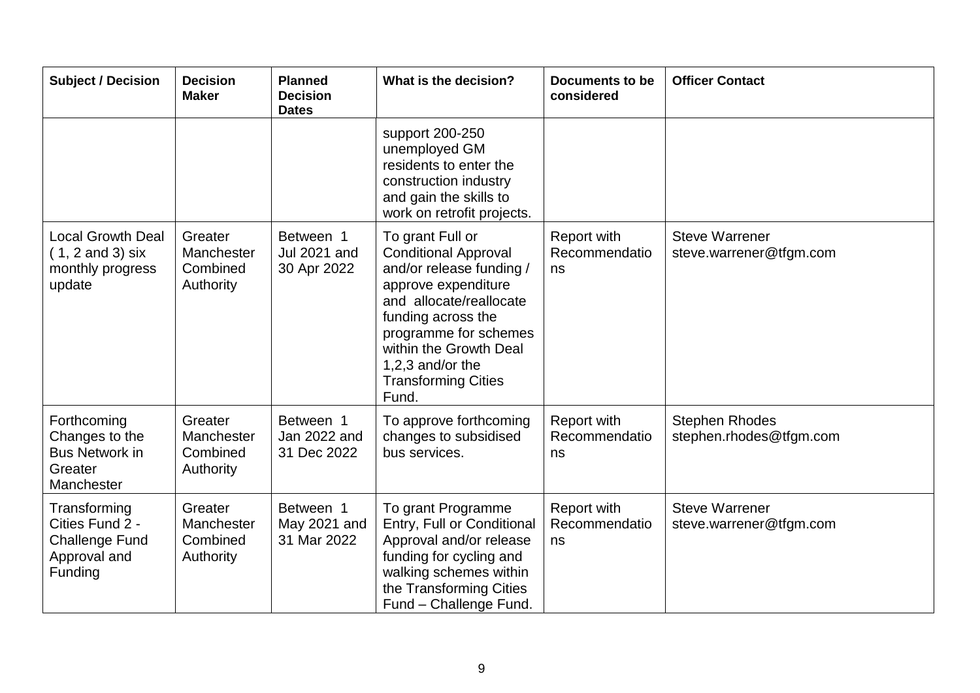| <b>Subject / Decision</b>                                                             | <b>Decision</b><br><b>Maker</b>                | <b>Planned</b><br><b>Decision</b><br><b>Dates</b> | What is the decision?                                                                                                                                                                                                                                             | <b>Documents to be</b><br>considered | <b>Officer Contact</b>                           |
|---------------------------------------------------------------------------------------|------------------------------------------------|---------------------------------------------------|-------------------------------------------------------------------------------------------------------------------------------------------------------------------------------------------------------------------------------------------------------------------|--------------------------------------|--------------------------------------------------|
|                                                                                       |                                                |                                                   | support 200-250<br>unemployed GM<br>residents to enter the<br>construction industry<br>and gain the skills to<br>work on retrofit projects.                                                                                                                       |                                      |                                                  |
| <b>Local Growth Deal</b><br>$(1, 2 \text{ and } 3)$ six<br>monthly progress<br>update | Greater<br>Manchester<br>Combined<br>Authority | Between 1<br><b>Jul 2021 and</b><br>30 Apr 2022   | To grant Full or<br><b>Conditional Approval</b><br>and/or release funding /<br>approve expenditure<br>and allocate/reallocate<br>funding across the<br>programme for schemes<br>within the Growth Deal<br>1,2,3 and/or the<br><b>Transforming Cities</b><br>Fund. | Report with<br>Recommendatio<br>ns   | <b>Steve Warrener</b><br>steve.warrener@tfgm.com |
| Forthcoming<br>Changes to the<br><b>Bus Network in</b><br>Greater<br>Manchester       | Greater<br>Manchester<br>Combined<br>Authority | Between 1<br>Jan 2022 and<br>31 Dec 2022          | To approve forthcoming<br>changes to subsidised<br>bus services.                                                                                                                                                                                                  | Report with<br>Recommendatio<br>ns   | <b>Stephen Rhodes</b><br>stephen.rhodes@tfgm.com |
| Transforming<br>Cities Fund 2 -<br><b>Challenge Fund</b><br>Approval and<br>Funding   | Greater<br>Manchester<br>Combined<br>Authority | Between 1<br>May 2021 and<br>31 Mar 2022          | To grant Programme<br>Entry, Full or Conditional<br>Approval and/or release<br>funding for cycling and<br>walking schemes within<br>the Transforming Cities<br>Fund - Challenge Fund.                                                                             | Report with<br>Recommendatio<br>ns   | <b>Steve Warrener</b><br>steve.warrener@tfgm.com |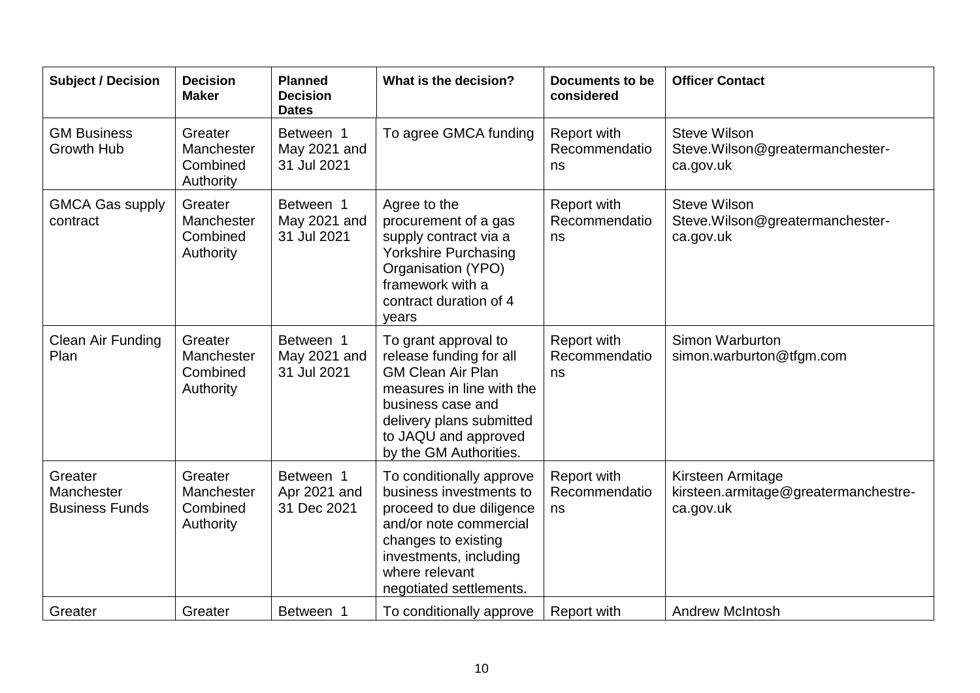| <b>Subject / Decision</b>                      | <b>Decision</b><br><b>Maker</b>                | <b>Planned</b><br><b>Decision</b><br><b>Dates</b> | What is the decision?                                                                                                                                                                                       | <b>Documents to be</b><br>considered | <b>Officer Contact</b>                                                 |
|------------------------------------------------|------------------------------------------------|---------------------------------------------------|-------------------------------------------------------------------------------------------------------------------------------------------------------------------------------------------------------------|--------------------------------------|------------------------------------------------------------------------|
| <b>GM Business</b><br><b>Growth Hub</b>        | Greater<br>Manchester<br>Combined<br>Authority | Between 1<br>May 2021 and<br>31 Jul 2021          | To agree GMCA funding                                                                                                                                                                                       | Report with<br>Recommendatio<br>ns   | <b>Steve Wilson</b><br>Steve.Wilson@greatermanchester-<br>ca.gov.uk    |
| <b>GMCA Gas supply</b><br>contract             | Greater<br>Manchester<br>Combined<br>Authority | Between 1<br>May 2021 and<br>31 Jul 2021          | Agree to the<br>procurement of a gas<br>supply contract via a<br><b>Yorkshire Purchasing</b><br>Organisation (YPO)<br>framework with a<br>contract duration of 4<br>years                                   | Report with<br>Recommendatio<br>ns   | <b>Steve Wilson</b><br>Steve. Wilson@greatermanchester-<br>ca.gov.uk   |
| Clean Air Funding<br>Plan                      | Greater<br>Manchester<br>Combined<br>Authority | Between 1<br>May 2021 and<br>31 Jul 2021          | To grant approval to<br>release funding for all<br><b>GM Clean Air Plan</b><br>measures in line with the<br>business case and<br>delivery plans submitted<br>to JAQU and approved<br>by the GM Authorities. | Report with<br>Recommendatio<br>ns   | Simon Warburton<br>simon.warburton@tfgm.com                            |
| Greater<br>Manchester<br><b>Business Funds</b> | Greater<br>Manchester<br>Combined<br>Authority | Between 1<br>Apr 2021 and<br>31 Dec 2021          | To conditionally approve<br>business investments to<br>proceed to due diligence<br>and/or note commercial<br>changes to existing<br>investments, including<br>where relevant<br>negotiated settlements.     | Report with<br>Recommendatio<br>ns   | Kirsteen Armitage<br>kirsteen.armitage@greatermanchestre-<br>ca.gov.uk |
| Greater                                        | Greater                                        | Between 1                                         | To conditionally approve                                                                                                                                                                                    | <b>Report with</b>                   | <b>Andrew McIntosh</b>                                                 |